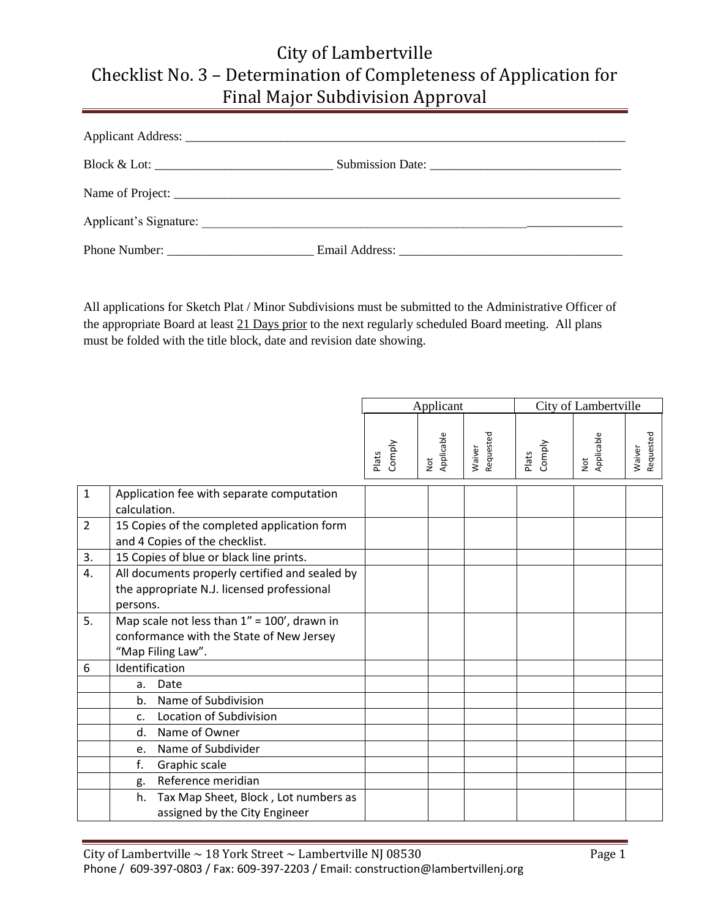## City of Lambertville Checklist No. 3 – Determination of Completeness of Application for Final Major Subdivision Approval

All applications for Sketch Plat / Minor Subdivisions must be submitted to the Administrative Officer of the appropriate Board at least 21 Days prior to the next regularly scheduled Board meeting. All plans must be folded with the title block, date and revision date showing.

|                |                                                                                                                  | Applicant       |                                     |                     | City of Lambertville |                 |                     |
|----------------|------------------------------------------------------------------------------------------------------------------|-----------------|-------------------------------------|---------------------|----------------------|-----------------|---------------------|
|                |                                                                                                                  | Comply<br>Plats | Applicable<br>$\overline{\text{B}}$ | Requested<br>Waiver | Comply<br>Plats      | Applicable<br>ŏ | Requested<br>Waiver |
| $\mathbf{1}$   | Application fee with separate computation<br>calculation.                                                        |                 |                                     |                     |                      |                 |                     |
| $\overline{2}$ | 15 Copies of the completed application form<br>and 4 Copies of the checklist.                                    |                 |                                     |                     |                      |                 |                     |
| 3.             | 15 Copies of blue or black line prints.                                                                          |                 |                                     |                     |                      |                 |                     |
| 4.             | All documents properly certified and sealed by<br>the appropriate N.J. licensed professional<br>persons.         |                 |                                     |                     |                      |                 |                     |
| 5.             | Map scale not less than $1'' = 100'$ , drawn in<br>conformance with the State of New Jersey<br>"Map Filing Law". |                 |                                     |                     |                      |                 |                     |
| 6              | Identification                                                                                                   |                 |                                     |                     |                      |                 |                     |
|                | Date<br>a.                                                                                                       |                 |                                     |                     |                      |                 |                     |
|                | Name of Subdivision<br>b.                                                                                        |                 |                                     |                     |                      |                 |                     |
|                | Location of Subdivision<br>C.                                                                                    |                 |                                     |                     |                      |                 |                     |
|                | Name of Owner<br>d.                                                                                              |                 |                                     |                     |                      |                 |                     |
|                | Name of Subdivider<br>e.                                                                                         |                 |                                     |                     |                      |                 |                     |
|                | f.<br>Graphic scale                                                                                              |                 |                                     |                     |                      |                 |                     |
|                | Reference meridian<br>g.                                                                                         |                 |                                     |                     |                      |                 |                     |
|                | Tax Map Sheet, Block, Lot numbers as<br>h.<br>assigned by the City Engineer                                      |                 |                                     |                     |                      |                 |                     |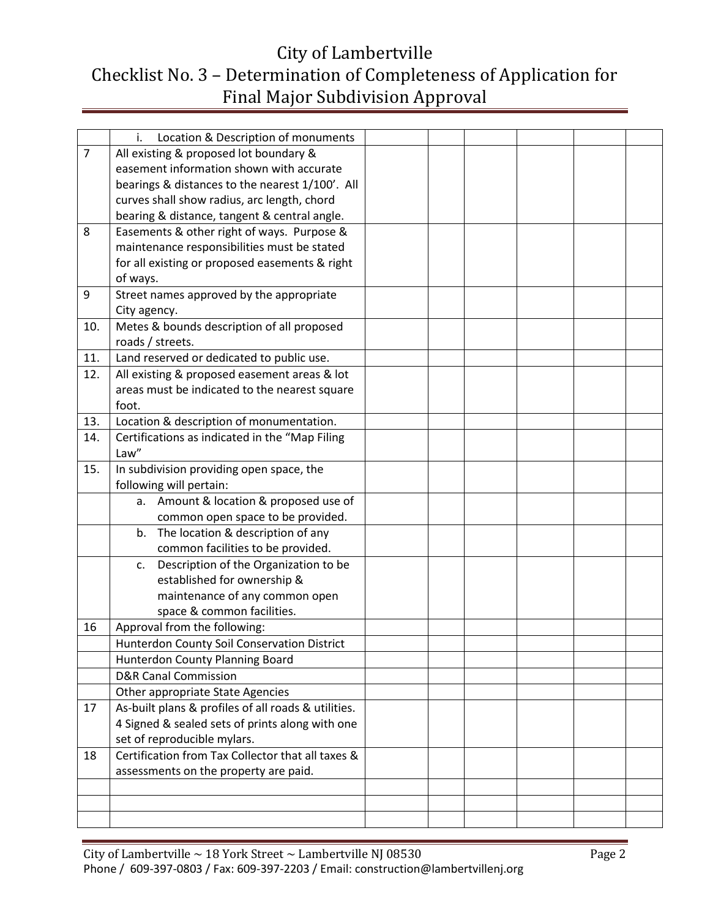## City of Lambertville Checklist No. 3 – Determination of Completeness of Application for Final Major Subdivision Approval

|                | Location & Description of monuments<br>i.                                  |  |  |  |
|----------------|----------------------------------------------------------------------------|--|--|--|
| $\overline{7}$ | All existing & proposed lot boundary &                                     |  |  |  |
|                | easement information shown with accurate                                   |  |  |  |
|                | bearings & distances to the nearest 1/100'. All                            |  |  |  |
|                | curves shall show radius, arc length, chord                                |  |  |  |
|                | bearing & distance, tangent & central angle.                               |  |  |  |
| 8              | Easements & other right of ways. Purpose &                                 |  |  |  |
|                | maintenance responsibilities must be stated                                |  |  |  |
|                | for all existing or proposed easements & right                             |  |  |  |
|                | of ways.                                                                   |  |  |  |
| 9              | Street names approved by the appropriate                                   |  |  |  |
|                | City agency.                                                               |  |  |  |
| 10.            | Metes & bounds description of all proposed                                 |  |  |  |
|                | roads / streets.                                                           |  |  |  |
| 11.            | Land reserved or dedicated to public use.                                  |  |  |  |
| 12.            | All existing & proposed easement areas & lot                               |  |  |  |
|                | areas must be indicated to the nearest square                              |  |  |  |
|                | foot.                                                                      |  |  |  |
| 13.            | Location & description of monumentation.                                   |  |  |  |
| 14.            | Certifications as indicated in the "Map Filing                             |  |  |  |
|                | Law"                                                                       |  |  |  |
| 15.            | In subdivision providing open space, the                                   |  |  |  |
|                | following will pertain:                                                    |  |  |  |
|                | Amount & location & proposed use of<br>а.                                  |  |  |  |
|                | common open space to be provided.                                          |  |  |  |
|                | The location & description of any<br>b.                                    |  |  |  |
|                | common facilities to be provided.                                          |  |  |  |
|                | Description of the Organization to be<br>c.<br>established for ownership & |  |  |  |
|                | maintenance of any common open                                             |  |  |  |
|                | space & common facilities.                                                 |  |  |  |
| 16             | Approval from the following:                                               |  |  |  |
|                | Hunterdon County Soil Conservation District                                |  |  |  |
|                | Hunterdon County Planning Board                                            |  |  |  |
|                | <b>D&amp;R Canal Commission</b>                                            |  |  |  |
|                | Other appropriate State Agencies                                           |  |  |  |
| 17             | As-built plans & profiles of all roads & utilities.                        |  |  |  |
|                | 4 Signed & sealed sets of prints along with one                            |  |  |  |
|                | set of reproducible mylars.                                                |  |  |  |
| 18             | Certification from Tax Collector that all taxes &                          |  |  |  |
|                | assessments on the property are paid.                                      |  |  |  |
|                |                                                                            |  |  |  |
|                |                                                                            |  |  |  |
|                |                                                                            |  |  |  |